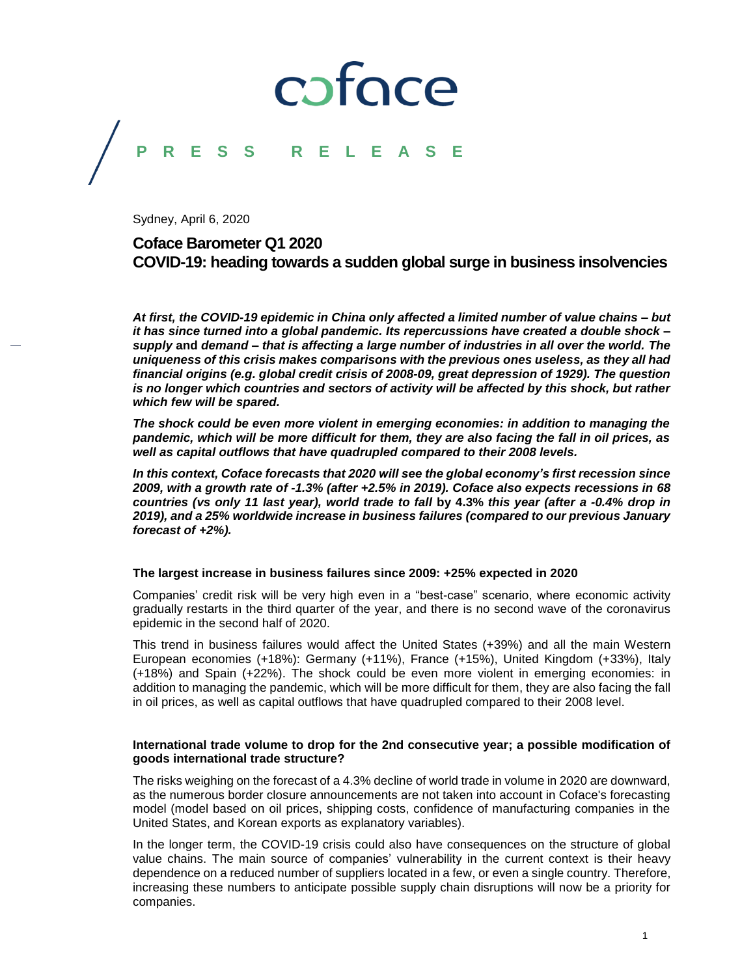### coface **F S S R E**

Sydney, April 6, 2020

### **Coface Barometer Q1 2020 COVID-19: heading towards a sudden global surge in business insolvencies**

*At first, the COVID-19 epidemic in China only affected a limited number of value chains – but it has since turned into a global pandemic. Its repercussions have created a double shock – supply* **and** *demand – that is affecting a large number of industries in all over the world. The uniqueness of this crisis makes comparisons with the previous ones useless, as they all had financial origins (e.g. global credit crisis of 2008-09, great depression of 1929). The question*  is no longer which countries and sectors of activity will be affected by this shock, but rather *which few will be spared.*

*The shock could be even more violent in emerging economies: in addition to managing the pandemic, which will be more difficult for them, they are also facing the fall in oil prices, as well as capital outflows that have quadrupled compared to their 2008 levels.*

*In this context, Coface forecasts that 2020 will see the global economy's first recession since 2009, with a growth rate of -1.3% (after +2.5% in 2019). Coface also expects recessions in 68 countries (vs only 11 last year), world trade to fall* **by 4.3%** *this year (after a -0.4% drop in 2019), and a 25% worldwide increase in business failures (compared to our previous January forecast of +2%).*

#### **The largest increase in business failures since 2009: +25% expected in 2020**

Companies' credit risk will be very high even in a "best-case" scenario, where economic activity gradually restarts in the third quarter of the year, and there is no second wave of the coronavirus epidemic in the second half of 2020.

This trend in business failures would affect the United States (+39%) and all the main Western European economies (+18%): Germany (+11%), France (+15%), United Kingdom (+33%), Italy (+18%) and Spain (+22%). The shock could be even more violent in emerging economies: in addition to managing the pandemic, which will be more difficult for them, they are also facing the fall in oil prices, as well as capital outflows that have quadrupled compared to their 2008 level.

#### **International trade volume to drop for the 2nd consecutive year; a possible modification of goods international trade structure?**

The risks weighing on the forecast of a 4.3% decline of world trade in volume in 2020 are downward, as the numerous border closure announcements are not taken into account in Coface's forecasting model (model based on oil prices, shipping costs, confidence of manufacturing companies in the United States, and Korean exports as explanatory variables).

In the longer term, the COVID-19 crisis could also have consequences on the structure of global value chains. The main source of companies' vulnerability in the current context is their heavy dependence on a reduced number of suppliers located in a few, or even a single country. Therefore, increasing these numbers to anticipate possible supply chain disruptions will now be a priority for companies.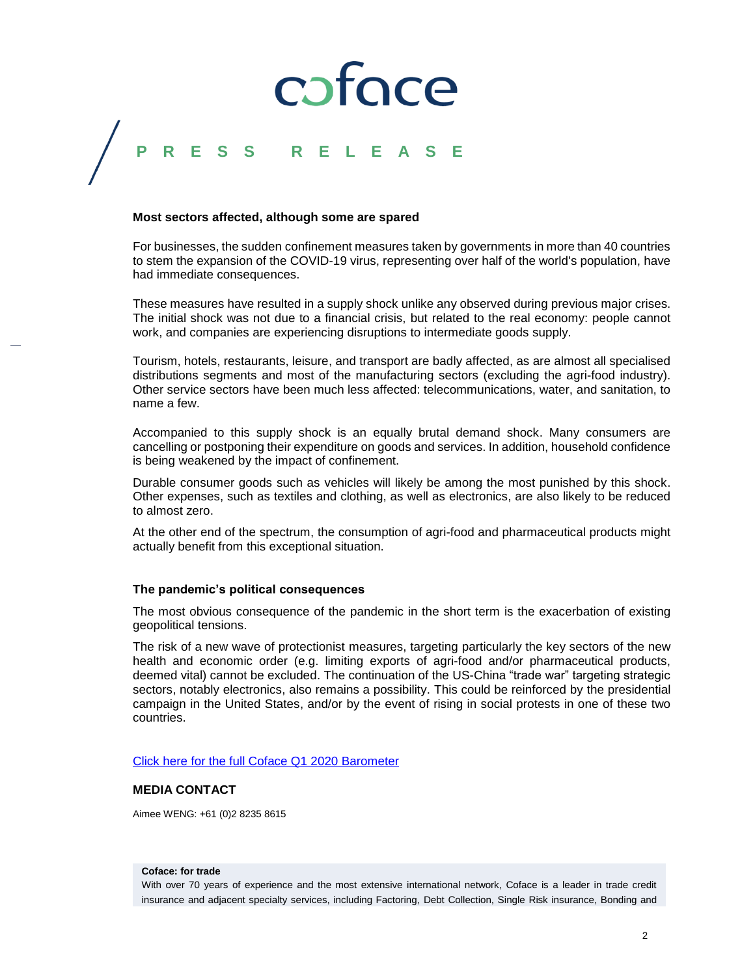## coface

### **P R E S S R E L E A S E**

#### **Most sectors affected, although some are spared**

For businesses, the sudden confinement measures taken by governments in more than 40 countries to stem the expansion of the COVID-19 virus, representing over half of the world's population, have had immediate consequences.

These measures have resulted in a supply shock unlike any observed during previous major crises. The initial shock was not due to a financial crisis, but related to the real economy: people cannot work, and companies are experiencing disruptions to intermediate goods supply.

Tourism, hotels, restaurants, leisure, and transport are badly affected, as are almost all specialised distributions segments and most of the manufacturing sectors (excluding the agri-food industry). Other service sectors have been much less affected: telecommunications, water, and sanitation, to name a few.

Accompanied to this supply shock is an equally brutal demand shock. Many consumers are cancelling or postponing their expenditure on goods and services. In addition, household confidence is being weakened by the impact of confinement.

Durable consumer goods such as vehicles will likely be among the most punished by this shock. Other expenses, such as textiles and clothing, as well as electronics, are also likely to be reduced to almost zero.

At the other end of the spectrum, the consumption of agri-food and pharmaceutical products might actually benefit from this exceptional situation.

#### **The pandemic's political consequences**

The most obvious consequence of the pandemic in the short term is the exacerbation of existing geopolitical tensions.

The risk of a new wave of protectionist measures, targeting particularly the key sectors of the new health and economic order (e.g. limiting exports of agri-food and/or pharmaceutical products, deemed vital) cannot be excluded. The continuation of the US-China "trade war" targeting strategic sectors, notably electronics, also remains a possibility. This could be reinforced by the presidential campaign in the United States, and/or by the event of rising in social protests in one of these two countries.

[Click here for the full Coface Q1 2020 Barometer](https://www.coface.com/News-Publications/Publications/Country-Sector-Risk-Barometer-Q1-2020-Quarterly-Update)

#### **MEDIA CONTACT**

Aimee WENG: +61 (0)2 8235 8615

#### **Coface: for trade**

With over 70 years of experience and the most extensive international network, Coface is a leader in trade credit insurance and adjacent specialty services, including Factoring, Debt Collection, Single Risk insurance, Bonding and